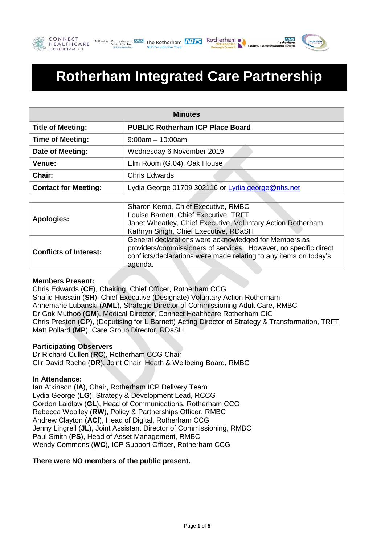





# **Rotherham Integrated Care Partnership**

| <b>Minutes</b>              |                                                   |  |
|-----------------------------|---------------------------------------------------|--|
| <b>Title of Meeting:</b>    | <b>PUBLIC Rotherham ICP Place Board</b>           |  |
| <b>Time of Meeting:</b>     | $9:00$ am – 10:00am                               |  |
| Date of Meeting:            | Wednesday 6 November 2019                         |  |
| <b>Venue:</b>               | Elm Room (G.04), Oak House                        |  |
| Chair:                      | <b>Chris Edwards</b>                              |  |
| <b>Contact for Meeting:</b> | Lydia George 01709 302116 or Lydia.george@nhs.net |  |

|                               | Sharon Kemp, Chief Executive, RMBC                                |
|-------------------------------|-------------------------------------------------------------------|
|                               | Louise Barnett, Chief Executive, TRFT                             |
| Apologies:                    | Janet Wheatley, Chief Executive, Voluntary Action Rotherham       |
|                               | Kathryn Singh, Chief Executive, RDaSH                             |
| <b>Conflicts of Interest:</b> | General declarations were acknowledged for Members as             |
|                               | providers/commissioners of services. However, no specific direct  |
|                               | conflicts/declarations were made relating to any items on today's |
|                               | agenda.                                                           |

## **Members Present:**

Chris Edwards (**CE**), Chairing, Chief Officer, Rotherham CCG Shafiq Hussain (**SH**), Chief Executive (Designate) Voluntary Action Rotherham Annemarie Lubanski (**AML**), Strategic Director of Commissioning Adult Care, RMBC Dr Gok Muthoo (**GM**), Medical Director, Connect Healthcare Rotherham CIC Chris Preston (**CP**), (Deputising for L Barnett) Acting Director of Strategy & Transformation, TRFT Matt Pollard (**MP**), Care Group Director, RDaSH

## **Participating Observers**

Dr Richard Cullen (**RC**), Rotherham CCG Chair Cllr David Roche (**DR**), Joint Chair, Heath & Wellbeing Board, RMBC

## **In Attendance:**

Ian Atkinson (**IA**), Chair, Rotherham ICP Delivery Team Lydia George (**LG**), Strategy & Development Lead, RCCG Gordon Laidlaw (**GL**), Head of Communications, Rotherham CCG Rebecca Woolley (**RW**), Policy & Partnerships Officer, RMBC Andrew Clayton (**ACl**), Head of Digital, Rotherham CCG Jenny Lingrell (**JL**), Joint Assistant Director of Commissioning, RMBC Paul Smith (**PS**), Head of Asset Management, RMBC Wendy Commons (**WC**), ICP Support Officer, Rotherham CCG

## **There were NO members of the public present.**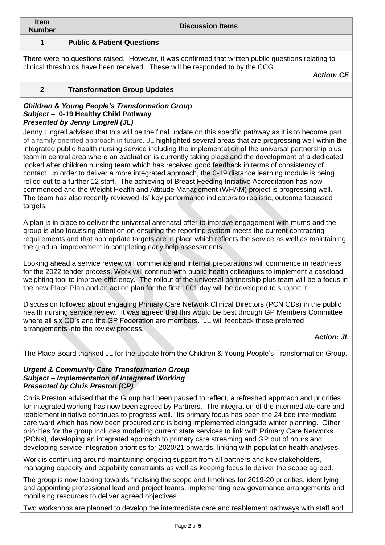| Item<br><b>Number</b> | <b>Discussion Items</b>               |  |
|-----------------------|---------------------------------------|--|
|                       | <b>Public &amp; Patient Questions</b> |  |

There were no questions raised. However, it was confirmed that written public questions relating to clinical thresholds have been received. These will be responded to by the CCG.

*Action: CE*

**2 Transformation Group Updates**

## *Children & Young People's Transformation Group Subject –* **0-19 Healthy Child Pathway** *Presented by Jenny Lingrell (JL)*

Jenny Lingrell advised that this will be the final update on this specific pathway as it is to become part of a family oriented approach in future. JL highlighted several areas that are progressing well within the integrated public health nursing service including the implementation of the universal partnership plus team in central area where an evaluation is currently taking place and the development of a dedicated looked after children nursing team which has received good feedback in terms of consistency of contact. In order to deliver a more integrated approach, the 0-19 distance learning module is being rolled out to a further 12 staff. The achieving of Breast Feeding Initiative Accreditation has now commenced and the Weight Health and Attitude Management (WHAM) project is progressing well. The team has also recently reviewed its' key performance indicators to realistic, outcome focussed targets.

A plan is in place to deliver the universal antenatal offer to improve engagement with mums and the group is also focussing attention on ensuring the reporting system meets the current contracting requirements and that appropriate targets are in place which reflects the service as well as maintaining the gradual improvement in completing early help assessments.

Looking ahead a service review will commence and internal preparations will commence in readiness for the 2022 tender process. Work will continue with public health colleagues to implement a caseload weighting tool to improve efficiency. The rollout of the universal partnership plus team will be a focus in the new Place Plan and an action plan for the first 1001 day will be developed to support it.

Discussion followed about engaging Primary Care Network Clinical Directors (PCN CDs) in the public health nursing service review. It was agreed that this would be best through GP Members Committee where all six CD's and the GP Federation are members. JL will feedback these preferred arrangements into the review process.

# *Action: JL*

The Place Board thanked JL for the update from the Children & Young People's Transformation Group.

#### *Urgent & Community Care Transformation Group Subject – Implementation of Integrated Working Presented by Chris Preston (CP)*

Chris Preston advised that the Group had been paused to reflect, a refreshed approach and priorities for integrated working has now been agreed by Partners. The integration of the intermediate care and reablement initiative continues to progress well. Its primary focus has been the 24 bed intermediate care ward which has now been procured and is being implemented alongside winter planning. Other priorities for the group includes modelling current state services to link with Primary Care Networks (PCNs), developing an integrated approach to primary care streaming and GP out of hours and developing service integration priorities for 2020/21 onwards, linking with population health analyses.

Work is continuing around maintaining ongoing support from all partners and key stakeholders, managing capacity and capability constraints as well as keeping focus to deliver the scope agreed.

The group is now looking towards finalising the scope and timelines for 2019-20 priorities, identifying and appointing professional lead and project teams, implementing new governance arrangements and mobilising resources to deliver agreed objectives.

Two workshops are planned to develop the intermediate care and reablement pathways with staff and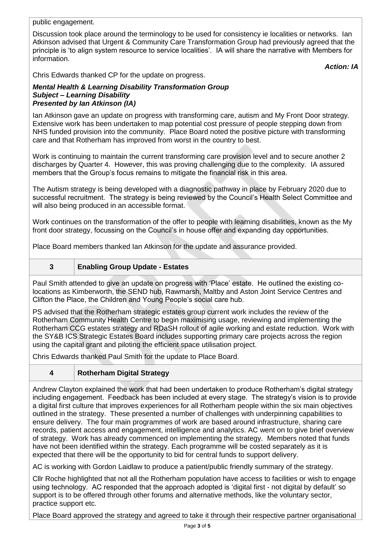public engagement.

Discussion took place around the terminology to be used for consistency ie localities or networks. Ian Atkinson advised that Urgent & Community Care Transformation Group had previously agreed that the principle is 'to align system resource to service localities'. IA will share the narrative with Members for information.

*Action: IA*

Chris Edwards thanked CP for the update on progress.

## *Mental Health & Learning Disability Transformation Group Subject – Learning Disability Presented by Ian Atkinson (IA)*

Ian Atkinson gave an update on progress with transforming care, autism and My Front Door strategy. Extensive work has been undertaken to map potential cost pressure of people stepping down from NHS funded provision into the community. Place Board noted the positive picture with transforming care and that Rotherham has improved from worst in the country to best.

Work is continuing to maintain the current transforming care provision level and to secure another 2 discharges by Quarter 4. However, this was proving challenging due to the complexity. IA assured members that the Group's focus remains to mitigate the financial risk in this area.

The Autism strategy is being developed with a diagnostic pathway in place by February 2020 due to successful recruitment. The strategy is being reviewed by the Council's Health Select Committee and will also being produced in an accessible format.

Work continues on the transformation of the offer to people with learning disabilities, known as the My front door strategy, focussing on the Council's in house offer and expanding day opportunities.

Place Board members thanked Ian Atkinson for the update and assurance provided.

**3 Enabling Group Update - Estates**

Paul Smith attended to give an update on progress with 'Place' estate. He outlined the existing colocations as Kimberworth, the SEND hub, Rawmarsh, Maltby and Aston Joint Service Centres and Clifton the Place, the Children and Young People's social care hub.

PS advised that the Rotherham strategic estates group current work includes the review of the Rotherham Community Health Centre to begin maximising usage, reviewing and implementing the Rotherham CCG estates strategy and RDaSH rollout of agile working and estate reduction. Work with the SY&B ICS Strategic Estates Board includes supporting primary care projects across the region using the capital grant and piloting the efficient space utilisation project.

Chris Edwards thanked Paul Smith for the update to Place Board.

# **4 Rotherham Digital Strategy**

Andrew Clayton explained the work that had been undertaken to produce Rotherham's digital strategy including engagement. Feedback has been included at every stage. The strategy's vision is to provide a digital first culture that improves experiences for all Rotherham people within the six main objectives outlined in the strategy. These presented a number of challenges with underpinning capabilities to ensure delivery. The four main programmes of work are based around infrastructure, sharing care records, patient access and engagement, intelligence and analytics. AC went on to give brief overview of strategy. Work has already commenced on implementing the strategy. Members noted that funds have not been identified within the strategy. Each programme will be costed separately as it is expected that there will be the opportunity to bid for central funds to support delivery.

AC is working with Gordon Laidlaw to produce a patient/public friendly summary of the strategy.

Cllr Roche highlighted that not all the Rotherham population have access to facilities or wish to engage using technology. AC responded that the approach adopted is 'digital first - not digital by default' so support is to be offered through other forums and alternative methods, like the voluntary sector, practice support etc.

Place Board approved the strategy and agreed to take it through their respective partner organisational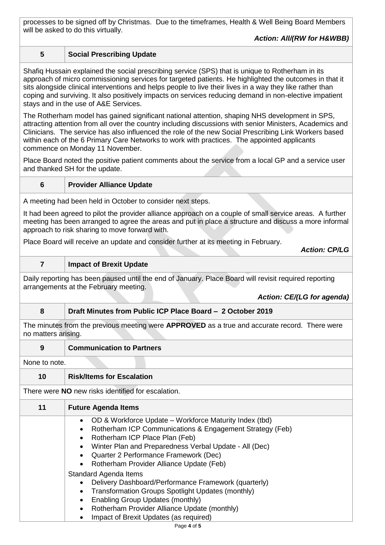processes to be signed off by Christmas. Due to the timeframes, Health & Well Being Board Members will be asked to do this virtually.

*Action: All/(RW for H&WBB)*

## **5 Social Prescribing Update**

Shafiq Hussain explained the social prescribing service (SPS) that is unique to Rotherham in its approach of micro commissioning services for targeted patients. He highlighted the outcomes in that it sits alongside clinical interventions and helps people to live their lives in a way they like rather than coping and surviving. It also positively impacts on services reducing demand in non-elective impatient stays and in the use of A&E Services.

The Rotherham model has gained significant national attention, shaping NHS development in SPS, attracting attention from all over the country including discussions with senior Ministers, Academics and Clinicians. The service has also influenced the role of the new Social Prescribing Link Workers based within each of the 6 Primary Care Networks to work with practices. The appointed applicants commence on Monday 11 November.

Place Board noted the positive patient comments about the service from a local GP and a service user and thanked SH for the update.

## **6 Provider Alliance Update**

A meeting had been held in October to consider next steps.

It had been agreed to pilot the provider alliance approach on a couple of small service areas. A further meeting has been arranged to agree the areas and put in place a structure and discuss a more informal approach to risk sharing to move forward with.

Place Board will receive an update and consider further at its meeting in February.

*Action: CP/LG*

### **7 Impact of Brexit Update**

Daily reporting has been paused until the end of January. Place Board will revisit required reporting arrangements at the February meeting.

*Action: CE/(LG for agenda)*

## **8 Draft Minutes from Public ICP Place Board – 2 October 2019**

The minutes from the previous meeting were **APPROVED** as a true and accurate record. There were no matters arising.

**9 Communication to Partners**

None to note.

## **10 Risk/Items for Escalation**

There were **NO** new risks identified for escalation.

| 11 | <b>Future Agenda Items</b>                                                                                                                                                                                                                                                                              |
|----|---------------------------------------------------------------------------------------------------------------------------------------------------------------------------------------------------------------------------------------------------------------------------------------------------------|
|    | OD & Workforce Update – Workforce Maturity Index (tbd)<br>Rotherham ICP Communications & Engagement Strategy (Feb)<br>Rotherham ICP Place Plan (Feb)<br>Winter Plan and Preparedness Verbal Update - All (Dec)<br>• Quarter 2 Performance Framework (Dec)<br>• Rotherham Provider Alliance Update (Feb) |
|    | Standard Agenda Items                                                                                                                                                                                                                                                                                   |
|    | Delivery Dashboard/Performance Framework (quarterly)                                                                                                                                                                                                                                                    |
|    | Transformation Groups Spotlight Updates (monthly)                                                                                                                                                                                                                                                       |
|    | <b>Enabling Group Updates (monthly)</b>                                                                                                                                                                                                                                                                 |
|    | Rotherham Provider Alliance Update (monthly)                                                                                                                                                                                                                                                            |
|    | Impact of Brexit Updates (as required)                                                                                                                                                                                                                                                                  |